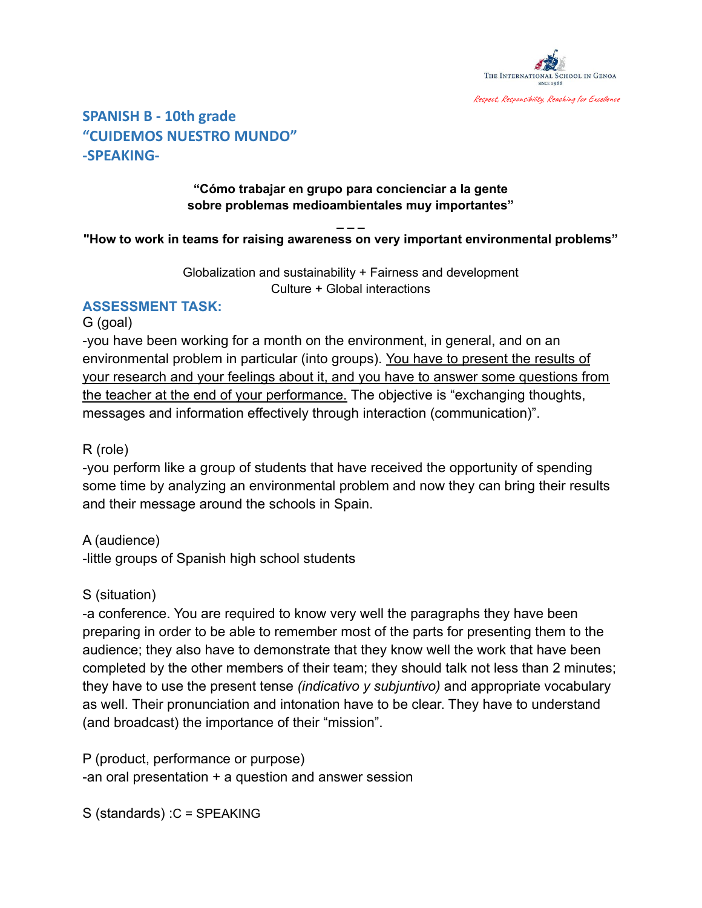

# **SPANISH B - 10th grade "CUIDEMOS NUESTRO MUNDO" -SPEAKING-**

#### **"Cómo trabajar en grupo para concienciar a la gente sobre problemas medioambientales muy importantes"**

#### **\_ \_ \_ "How to work in teams for raising awareness on very important environmental problems"**

Globalization and sustainability + Fairness and development Culture + Global interactions

## **ASSESSMENT TASK:**

#### G (goal)

-you have been working for a month on the environment, in general, and on an environmental problem in particular (into groups). You have to present the results of your research and your feelings about it, and you have to answer some questions from the teacher at the end of your performance. The objective is "exchanging thoughts, messages and information effectively through interaction (communication)".

## R (role)

-you perform like a group of students that have received the opportunity of spending some time by analyzing an environmental problem and now they can bring their results and their message around the schools in Spain.

## A (audience)

-little groups of Spanish high school students

### S (situation)

-a conference. You are required to know very well the paragraphs they have been preparing in order to be able to remember most of the parts for presenting them to the audience; they also have to demonstrate that they know well the work that have been completed by the other members of their team; they should talk not less than 2 minutes; they have to use the present tense *(indicativo y subjuntivo)* and appropriate vocabulary as well. Their pronunciation and intonation have to be clear. They have to understand (and broadcast) the importance of their "mission".

P (product, performance or purpose) -an oral presentation + a question and answer session

S (standards) :C = SPEAKING